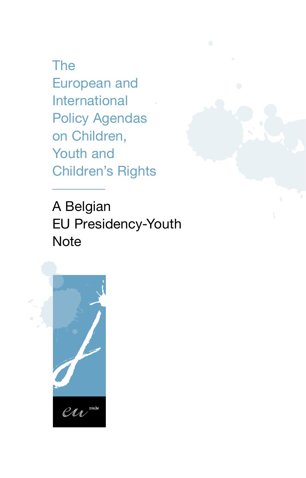The European and International Policy Agendas on Children, Youth and Children's Rights

A Belgian EU Presidency-Youth **Note** 

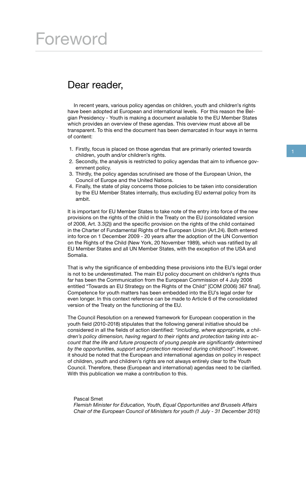### Foreword

### Dear reader,

In recent years, various policy agendas on children, youth and children's rights have been adopted at European and international levels. For this reason the Belgian Presidency - Youth is making a document available to the EU Member States which provides an overview of these agendas. This overview must above all be transparent. To this end the document has been demarcated in four ways in terms of content:

- 1. Firstly, focus is placed on those agendas that are primarily oriented towards children, youth and/or children's rights.
- 2. Secondly, the analysis is restricted to policy agendas that aim to influence government policy.
- 3. Thirdly, the policy agendas scrutinised are those of the European Union, the Council of Europe and the United Nations.
- 4. Finally, the state of play concerns those policies to be taken into consideration by the EU Member States internally, thus excluding EU external policy from its ambit.

It is important for EU Member States to take note of the entry into force of the new provisions on the rights of the child in the Treaty on the EU (consolidated version of 2008, Art. 3.3(2)) and the specific provision on the rights of the child contained in the Charter of Fundamental Rights of the European Union (Art.24). Both entered into force on 1 December 2009 - 20 years after the adoption of the UN Convention on the Rights of the Child (New York, 20 November 1989), which was ratified by all EU Member States and all UN Member States, with the exception of the USA and Somalia.

That is why the significance of embedding these provisions into the EU's legal order is not to be underestimated. The main EU policy document on children's rights thus far has been the Communication from the European Commission of 4 July 2006 entitled "Towards an EU Strategy on the Rights of the Child" [COM (2006) 367 final]. Competence for youth matters has been embedded into the EU's legal order for even longer. In this context reference can be made to Article 6 of the consolidated version of the Treaty on the functioning of the EU.

The Council Resolution on a renewed framework for European cooperation in the youth field (2010-2018) stipulates that the following general initiative should be considered in all the fields of action identified: *"including, where appropriate, a children's policy dimension, having regard to their rights and protection taking into account that the life and future prospects of young people are significantly determined by the opportunities, support and protection received during childhood"*. However, it should be noted that the European and international agendas on policy in respect of children, youth and children's rights are not always entirely clear to the Youth Council. Therefore, these (European and international) agendas need to be clarified. With this publication we make a contribution to this.

#### Pascal Smet

*Flemish Minister for Education, Youth, Equal Opportunities and Brussels Affairs Chair of the European Council of Ministers for youth (1 July - 31 December 2010)*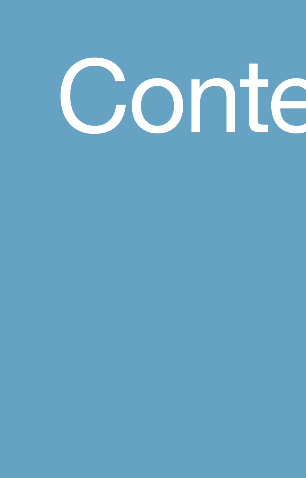# Conte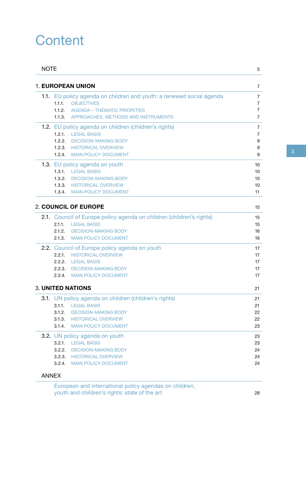### **Content**

| <b>NOTE</b> |                                                                                                                                                                                                          | 5                          |
|-------------|----------------------------------------------------------------------------------------------------------------------------------------------------------------------------------------------------------|----------------------------|
|             | <b>1. EUROPEAN UNION</b>                                                                                                                                                                                 | 7                          |
|             | 1.1. EU policy agenda on children and youth: a renewed social agenda<br>1.1.1. OBJECTIVES<br><b>1.1.2. AGENDA - THEMATIC PRIORITIES</b><br>1.1.3. APPROACHES, METHODS AND INSTRUMENTS                    | 7<br>7<br>7<br>7           |
|             | 1.2. EU policy agenda on children (children's rights)<br>1.2.1. LEGAL BASIS<br><b>1.2.2. DECISION-MAKING BODY</b><br><b>1.2.3. HISTORICAL OVERVIEW</b><br>1.2.4 MAIN POLICY DOCUMENT                     | 7<br>7<br>9<br>9<br>9      |
|             | 1.3. EU policy agenda on youth<br>1.3.1. LEGAL BASIS<br>1.3.2. DECISION-MAKING BODY<br><b>1.3.3. HISTORICAL OVERVIEW</b><br>1.3.4 MAIN POLICY DOCUMENT                                                   | 10<br>10<br>10<br>10<br>11 |
|             | <b>2. COUNCIL OF EUROPE</b>                                                                                                                                                                              | 15                         |
|             | 2.1. Council of Europe policy agenda on children (children's rights)<br>2.1.1.<br><b>LEGAL BASIS</b><br><b>DECISION-MAKING BODY</b><br>2.1.2.<br><b>MAIN POLICY DOCUMENT</b><br>2.1.3.                   | 15<br>15<br>16<br>16       |
|             | 2.2. Council of Europe policy agenda on youth<br><b>HISTORICAL OVERVIEW</b><br>2.2.1.<br>2.2.2. LEGAL BASIS<br>2.2.3. DECISION-MAKING BODY<br>2.2.4. MAIN POLICY DOCUMENT                                | 17<br>17<br>17<br>17<br>17 |
|             | <b>3. UNITED NATIONS</b>                                                                                                                                                                                 | 21                         |
|             | 3.1. UN policy agenda on children (children's rights)<br>3.1.1. LEGAL BASIS<br><b>DECISION-MAKING BODY</b><br>3.1.2.<br><b>HISTORICAL OVERVIEW</b><br>3.1.3.<br><b>MAIN POLICY DOCUMENT</b><br>3.1.4.    | 21<br>21<br>22<br>22<br>23 |
|             | 3.2. UN policy agenda on youth<br><b>LEGAL BASIS</b><br>3.2.1.<br><b>DECISION-MAKING BODY</b><br>3.2.2.<br>3.2.3.<br><b>HISTORICAL OVERVIEW</b><br><b>MAIN POLICY DOCUMENT</b><br>3.2.4.<br><b>ANNEX</b> | 23<br>23<br>24<br>24<br>24 |

European and international policy agendas on children, youth and children's rights: state of the art 28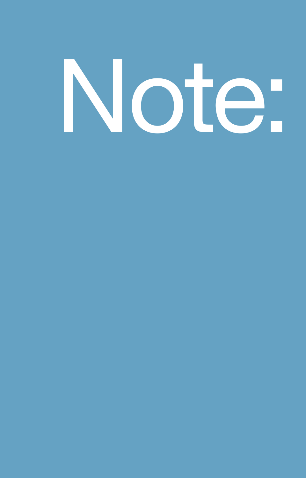# Note: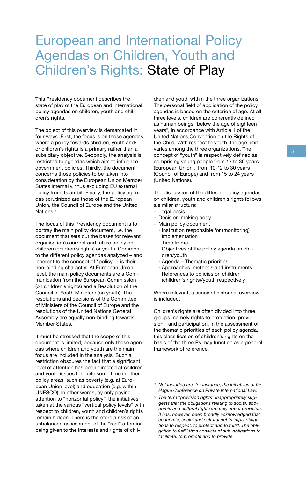### European and International Policy Agendas on Children, Youth and Children's Rights: State of Play

This Presidency document describes the state of play of the European and international policy agendas on children, youth and children's rights.

The object of this overview is demarcated in four ways. First, the focus is on those agendas where a policy towards children, youth and/ or children's rights is a primary rather than a subsidiary objective. Secondly, the analysis is restricted to agendas which aim to influence government policies. Thirdly, the document concerns those policies to be taken into consideration by the European Union Member States internally, thus excluding EU external policy from its ambit. Finally, the policy agendas scrutinized are those of the European Union, the Council of Europe and the United Nations.*<sup>1</sup>*

The focus of this Presidency document is to portray the main policy document, i.e. the document that sets out the bases for relevant organisation's current and future policy on children (children's rights) or youth. Common to the different policy agendas analyzed – and inherent to the concept of "policy" – is their non-binding character. At European Union level, the main policy documents are a Communication from the European Commission (on children's rights) and a Resolution of the Council of Youth Ministers (on youth). The resolutions and decisions of the Committee of Ministers of the Council of Europe and the resolutions of the United Nations General Assembly are equally non-binding towards Member States.

It must be stressed that the scope of this document is limited, because only those agendas where children and youth are the main focus are included in the analysis. Such a restriction obscures the fact that a significant level of attention has been directed at children and youth issues for quite some time in other policy areas, such as poverty (e.g. at European Union level) and education (e.g. within UNESCO). In other words, by only paying attention to "horizontal policy", the initiatives taken at the various "vertical policy levels" with respect to children, youth and children's rights remain hidden. There is therefore a risk of an unbalanced assessment of the "real" attention being given to the interests and rights of children and youth within the three organizations. The personal field of application of the policy agendas is based on the criterion of age. At all three levels, children are coherently defined as human beings "below the age of eighteen years", in accordance with Article 1 of the United Nations Convention on the Rights of the Child. With respect to youth, the age limit varies among the three organizations. The concept of "youth" is respectively defined as comprising young people from 13 to 30 years (European Union), from 10-12 to 30 years (Council of Europe) and from 15 to 24 years (United Nations).

The discussion of the different policy agendas on children, youth and children's rights follows a similar structure:

- Legal basis
- Decision-making body
- Main policy document
- · Institution responsible for (monitoring) implementation
- · Time frame
- · Objectives of the policy agenda on children/youth
- · Agenda Thematic priorities
- · Approaches, methods and instruments
- · References to policies on children (children's rights)/youth respectively

Where relevant, a succinct historical overview is included.

Children's rights are often divided into three groups, namely rights to protection, provision*2* and participation. In the assessment of the thematic priorities of each policy agenda, this classification of children's rights on the basis of the three Ps may function as a general framework of reference.

- *1 Not included are, for instance, the initiatives of the Hague Conference on Private International Law.*
- *2 The term "provision rights" inappropriately suggests that the obligations relating to social, economic and cultural rights are only about provision. It has, however, been broadly acknowledged that economic, social and cultural rights imply obligations to respect, to protect and to fulfill. The obligation to fulfill then consists of sub-obligations to facilitate, to promote and to provide.*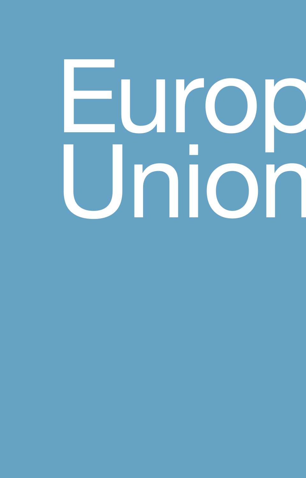# Europeof Union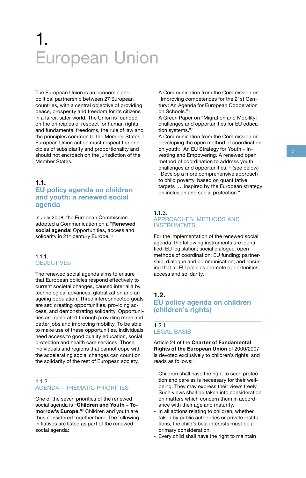## 1. European Union

**EUITOPEAN UNION**<br>
The European Union is an economic and<br>
political partnership between 27 European<br>
countries, with a central objective of providing<br>
peace, prosperity and freedom for its citizens<br>
in a fairer, safer worl The European Union is an economic and political partnership between 27 European countries, with a central objective of providing peace, prosperity and freedom for its citizens in a fairer, safer world. The Union is founded on the principles of respect for human rights and fundamental freedoms, the rule of law and the principles common to the Member States.*<sup>3</sup>* European Union action must respect the principles of subsidiarity and proportionality and should not encroach on the jurisdiction of the Member States.

#### **1.1.**

#### **EU policy agenda on children and youth: a renewed social agenda**

In July 2008, the European Commission adopted a Communication on a "**Renewed social agenda**: Opportunities, access and solidarity in 21st century Europe."*<sup>4</sup>*

#### 1.1.1. **OBJECTIVES**

The renewed social agenda aims to ensure that European policies respond effectively to current societal changes, caused inter alia by technological advances, globalization and an ageing population. Three interconnected goals are set: creating opportunities, providing access, and demonstrating solidarity. Opportunities are generated through providing more and better jobs and improving mobility. To be able to make use of these opportunities, individuals need access to good quality education, social protection and health care services. Those individuals and regions that cannot cope with the accelerating social changes can count on the solidarity of the rest of European society.

#### $112$ AGENDA – THEMATIC PRIORITIES

One of the seven priorities of the renewed social agenda is **"Children and Youth – Tomorrow's Europe."***5* Children and youth are thus considered together here. The following initiatives are listed as part of the renewed social agenda:

- A Communication from the Commission on "Improving competences for the 21st Century: An Agenda for European Cooperation on Schools."*<sup>6</sup>*
- A Green Paper on "Migration and Mobility: challenges and opportunities for EU education systems."*<sup>7</sup>*
- the principles common to the Member States.<sup>3</sup> A Communication from the Commission on<br>
European Union action must respect the principles of subsidiarity and proportionality and<br>
should not encroach on the jurisdiction of A Communication from the Commission on developing the open method of coordination on youth: "An EU Strategy for Youth – Investing and Empowering. A renewed open method of coordination to address youth challenges and opportunities."*8* (see below)
	- "Develop a more comprehensive approach to child poverty, based on quantitative targets ..., inspired by the European strategy on inclusion and social protection."

#### 1.1.3. APPROACHES, METHODS AND **INSTRUMENTS**

For the implementation of the renewed social agenda, the following instruments are identified: EU legislation; social dialogue; open methods of coordination; EU funding; partnership, dialogue and communication; and ensuring that all EU policies promote opportunities, access and solidarity.

#### **1.2. EU policy agenda on children (children's rights)**

#### 1.2.1. LEGAL BASIS

Article 24 of the **Charter of Fundamental Rights of the European Union** of 2000/2007 is devoted exclusively to children's rights, and reads as follows:*<sup>9</sup>*

- Children shall have the right to such protection and care as is necessary for their wellbeing. They may express their views freely. Such views shall be taken into consideration on matters which concern them in accordance with their age and maturity.
- In all actions relating to children, whether taken by public authorities or private institutions, the child's best interests must be a primary consideration.
- Every child shall have the right to maintain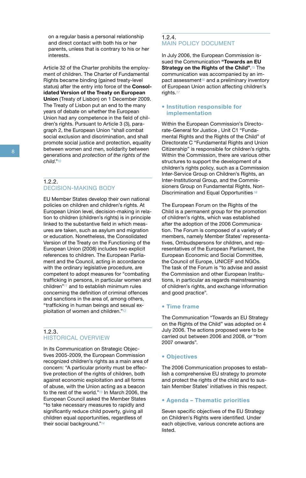on a regular basis a personal relationship and direct contact with both his or her parents, unless that is contrary to his or her interests.

Article 32 of the Charter prohibits the employment of children. The Charter of Fundamental Rights became binding (gained treaty-level status) after the entry into force of the **Consolidated Version of the Treaty on European Union** (Treaty of Lisbon) on 1 December 2009. The Treaty of Lisbon put an end to the many years of debate on whether the European Union had any competence in the field of children's rights. Pursuant to Article 3 (3), paragraph 2, the European Union "shall combat social exclusion and discrimination, and shall promote social justice and protection, equality between women and men, solidarity between generations and *protection of the rights of the child*."*<sup>10</sup>*

#### 1.2.2. DECISION-MAKING BODY

EU Member States develop their own national policies on children and children's rights. At European Union level, decision-making in relation to children (children's rights) is in principle linked to the substantive field in which measures are taken, such as asylum and migration or education. Nonetheless, the Consolidated Version of the Treaty on the Functioning of the European Union (2008) includes two explicit references to children. The European Parliament and the Council, acting in accordance with the ordinary legislative procedure, are competent to adopt measures for "combating trafficking in persons, in particular women and children"*11* and to establish minimum rules concerning the definition of criminal offences and sanctions in the area of, among others, "trafficking in human beings and sexual exploitation of women and children."*<sup>12</sup>*

#### 1.2.3. HISTORICAL OVERVIEW

In its Communication on Strategic Objectives 2005-2009, the European Commission recognized children's rights as a main area of concern: "A particular priority must be effective protection of the rights of children, both against economic exploitation and all forms of abuse, with the Union acting as a beacon to the rest of the world."*13* In March 2006, the European Council asked the Member States "to take necessary measures to rapidly and significantly reduce child poverty, giving all children equal opportunities, regardless of their social background."*<sup>14</sup>*

#### 1.2.4. MAIN POLICY DOCUMENT

In July 2006, the European Commission issued the Communication **"Towards an EU Strategy on the Rights of the Child"**.*15* The communication was accompanied by an impact assessment*16* and a preliminary inventory of European Union action affecting children's rights.*<sup>17</sup>*

#### **• Institution responsible for implementation**

Within the European Commission's Directorate-General for Justice , Unit C1 "Fundamental Rights and the Rights of the Child" of Directorate C "Fundamental Rights and Union Citizenship" is responsible for children's rights. Within the Commission, there are various other structures to support the development of a children's rights policy, such as a Commission Inter-Service Group on Children's Rights, an Inter-Institutional Group, and the Commissioners Group on Fundamental Rights, Non-Discrimination and Equal Opportunities*.18*

The European Forum on the Rights of the Child is a permanent group for the promotion of children's rights, which was established after the adoption of the 2006 Communication. The Forum is composed of a variety of members, namely Member States' representatives, Ombudspersons for children, and representatives of the European Parliament, the European Economic and Social Committee, the Council of Europe, UNICEF and NGOs. The task of the Forum is "to advise and assist the Commission and other European Institutions, in particular as regards mainstreaming of children's rights, and exchange information and good practice".

#### **• Time frame**

The Communication "Towards an EU Strategy on the Rights of the Child" was adopted on 4 July 2006. The actions proposed were to be carried out between 2006 and 2008, or "from 2007 onwards".

#### **• Objectives**

The 2006 Communication proposes to establish a comprehensive EU strategy to promote and protect the rights of the child and to sustain Member States' initiatives in this respect.

#### **• Agenda – Thematic priorities**

Seven specific objectives of the EU Strategy on Children's Rights were identified. Under each objective, various concrete actions are listed.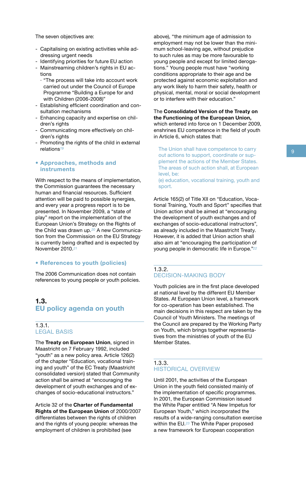The seven objectives are:

- Capitalising on existing activities while addressing urgent needs
- Identifying priorities for future EU action
- Mainstreaming children's rights in EU actions
	- · "The process will take into account work carried out under the Council of Europe Programme "Building a Europe for and with Children (2006-2008)"
- Establishing efficient coordination and consultation mechanisms
- Enhancing capacity and expertise on children's rights
- Communicating more effectively on children's rights
- Promoting the rights of the child in external relations*<sup>19</sup>*

#### **• Approaches, methods and instruments**

With respect to the means of implementation. the Commission guarantees the necessary human and financial resources. Sufficient attention will be paid to possible synergies, and every year a progress report is to be presented. In November 2009, a "state of play" report on the implementation of the European Union's Strategy on the Rights of the Child was drawn up.*20* A new Communication from the Commission on the EU Strategy is currently being drafted and is expected by November 2010.*<sup>21</sup>*

#### **• References to youth (policies)**

The 2006 Communication does not contain references to young people or youth policies.

#### **1.3. EU policy agenda on youth**

#### 1.3.1. LEGAL BASIS

The **Treaty on European Union**, signed in Maastricht on 7 February 1992, included "youth" as a new policy area. Article 126(2) of the chapter "Education, vocational training and youth" of the EC Treaty (Maastricht consolidated version) stated that Community action shall be aimed at "encouraging the development of youth exchanges and of exchanges of socio-educational instructors."

Article 32 of the **Charter of Fundamental Rights of the European Union** of 2000/2007 differentiates between the rights of children and the rights of young people: whereas the employment of children is prohibited (see

above), "the minimum age of admission to employment may not be lower than the minimum school-leaving age, without prejudice to such rules as may be more favourable to young people and except for limited derogations." Young people must have "working conditions appropriate to their age and be protected against economic exploitation and any work likely to harm their safety, health or physical, mental, moral or social development or to interfere with their education."

The **Consolidated Version of the Treaty on the Functioning of the European Union,**  which entered into force on 1 December 2009, enshrines EU competence in the field of youth in Article 6, which states that:

The Union shall have competence to carry out actions to support, coordinate or supplement the actions of the Member States. The areas of such action shall, at European level, be:

(e) education, vocational training, youth and sport.

Article 165(2) of Title XII on "Education, Vocational Training, Youth and Sport" specifies that Union action shall be aimed at "encouraging the development of youth exchanges and of exchanges of socio-educational instructors", as already included in the Maastricht Treaty. However, it is added that Union action shall also aim at "encouraging the participation of young people in democratic life in Europe."*<sup>22</sup>*

#### 1.3.2. DECISION-MAKING BODY

Youth policies are in the first place developed at national level by the different EU Member States. At European Union level, a framework for co-operation has been established. The main decisions in this respect are taken by the Council of Youth Ministers. The meetings of the Council are prepared by the Working Party on Youth, which brings together representatives from the ministries of youth of the EU Member States.

#### 1.3.3. HISTORICAL OVERVIEW

Until 2001, the activities of the European Union in the youth field consisted mainly of the implementation of specific programmes. In 2001, the European Commission issued the White Paper entitled "A New Impetus for European Youth," which incorporated the results of a wide-ranging consultation exercise within the EU.*23* The White Paper proposed a new framework for European cooperation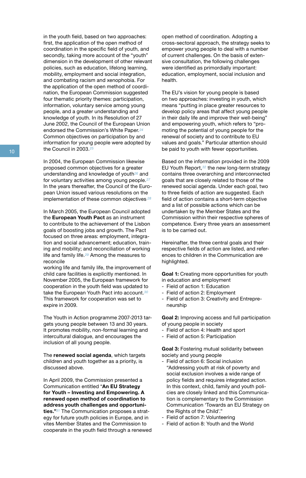in the youth field, based on two approaches: first, the application of the open method of coordination in the specific field of youth, and secondly, taking more account of the "youth" dimension in the development of other relevant policies, such as education, lifelong learning, mobility, employment and social integration, and combating racism and xenophobia. For the application of the open method of coordination, the European Commission suggested four thematic priority themes: participation, information, voluntary service among young people, and a greater understanding and knowledge of youth. In its Resolution of 27 June 2002, the Council of the European Union endorsed the Commission's White Paper.*<sup>24</sup>* Common objectives on participation by and information for young people were adopted by the Council in 2003.*<sup>25</sup>*

In 2004, the European Commission likewise proposed common objectives for a greater understanding and knowledge of youth*26* and for voluntary activities among young people.*<sup>27</sup>* In the years thereafter, the Council of the European Union issued various resolutions on the implementation of these common objectives*.28*

In March 2005, the European Council adopted the **European Youth Pact** as an instrument to contribute to the achievement of the Lisbon goals of boosting jobs and growth. The Pact focused on three areas: employment, integration and social advancement; education, training and mobility; and reconciliation of working life and family life.*29* Among the measures to reconcile

working life and family life, the improvement of child care facilities is explicitly mentioned. In November 2005, the European framework for cooperation in the youth field was updated to take the European Youth Pact into account.*<sup>30</sup>* This framework for cooperation was set to expire in 2009.

The Youth in Action programme 2007-2013 targets young people between 13 and 30 years. It promotes mobility, non-formal learning and intercultural dialogue, and encourages the inclusion of all young people.

The **renewed social agenda**, which targets children and youth together as a priority, is discussed above.

In April 2009, the Commission presented a Communication entitled "**An EU Strategy for Youth – Investing and Empowering. A renewed open method of coordination to address youth challenges and opportunities."***31* The Communication proposes a strategy for future youth policies in Europe, and in vites Member States and the Commission to cooperate in the youth field through a renewed open method of coordination. Adopting a cross-sectoral approach, the strategy seeks to empower young people to deal with a number of current challenges. On the basis of extensive consultation, the following challenges were identified as primordially important: education, employment, social inclusion and health.

The EU's vision for young people is based on two approaches: investing in youth, which means "putting in place greater resources to develop policy areas that affect young people in their daily life and improve their well-being" and empowering youth, which refers to "promoting the potential of young people for the renewal of society and to contribute to EU values and goals." Particular attention should be paid to youth with fewer opportunities.

Based on the information provided in the 2009 EU Youth Report,*32* the new long-term strategy contains three overarching and interconnected goals that are closely related to those of the renewed social agenda. Under each goal, two to three fields of action are suggested. Each field of action contains a short-term objective and a list of possible actions which can be undertaken by the Member States and the Commission within their respective spheres of competence. Every three years an assessment is to be carried out.

Hereinafter, the three central goals and their respective fields of action are listed, and references to children in the Communication are highlighted.

**Goal 1:** Creating more opportunities for youth in education and employment

- Field of action 1: Education
- Field of action 2: Employment
- Field of action 3: Creativity and Entrepreneurship

**Goal 2:** Improving access and full participation of young people in society

- Field of action 4: Health and sport
- Field of action 5: Participation

**Goal 3:** Fostering mutual solidarity between society and young people

- Field of action 6: Social inclusion "Addressing youth at risk of poverty and social exclusion involves a wide range of policy fields and requires integrated action. In this context, child, family and youth policies are closely linked and this Communication is complementary to the Commission Communication 'Towards an EU Strategy on the Rights of the Child'."
- Field of action 7: Volunteering
- Field of action 8: Youth and the World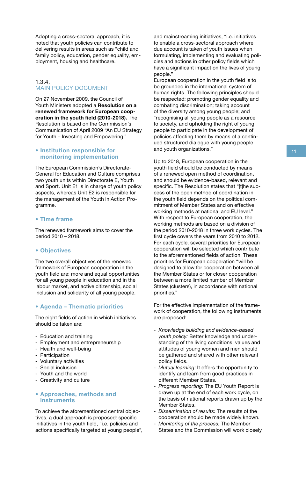Adopting a cross-sectoral approach, it is noted that youth policies can contribute to delivering results in areas such as "child and family policy, education, gender equality, employment, housing and healthcare."

#### 1.3.4. MAIN POLICY DOCUMENT

On 27 November 2009, the Council of Youth Ministers adopted a **Resolution on a renewed framework for European cooperation in the youth field (2010-2018).** The Resolution is based on the Commission's Communication of April 2009 "An EU Strategy for Youth – Investing and Empowering."

#### **• Institution responsible for monitoring implementation**

The European Commission's Directorate-General for Education and Culture comprises two youth units within Directorate E, Youth and Sport. Unit E1 is in charge of youth policy aspects, whereas Unit E2 is responsible for the management of the Youth in Action Programme.

#### **• Time frame**

The renewed framework aims to cover the period 2010 – 2018.

#### **• Objectives**

The two overall objectives of the renewed framework of European cooperation in the youth field are: more and equal opportunities for all young people in education and in the labour market, and active citizenship, social inclusion and solidarity of all young people.

#### **• Agenda – Thematic priorities**

The eight fields of action in which initiatives should be taken are:

- Education and training
- Employment and entrepreneurship
- Health and well-being
- Participation
- Voluntary activities
- Social inclusion
- Youth and the world
- Creativity and culture

#### **• Approaches, methods and instruments**

To achieve the aforementioned central objectives, a dual approach is proposed: specific initiatives in the youth field, "i.e. policies and actions specifically targeted at young people",

and mainstreaming initiatives, "i.e. initiatives to enable a cross-sectoral approach where due account is taken of youth issues when formulating, implementing and evaluating policies and actions in other policy fields which have a significant impact on the lives of young people."

European cooperation in the youth field is to be grounded in the international system of human rights. The following principles should be respected: promoting gender equality and combating discrimination; taking account of the diversity among young people; and "recognising all young people as a resource to society, and upholding the right of young people to participate in the development of policies affecting them by means of a continued structured dialogue with young people and youth organizations."

Up to 2018, European cooperation in the youth field should be conducted by means of a renewed open method of coordination**,**  and should be evidence-based, relevant and specific. The Resolution states that "[t]he success of the open method of coordination in the youth field depends on the political commitment of Member States and on effective working methods at national and EU level." With respect to European cooperation, the working methods are based on a division of the period 2010-2018 in three work cycles. The first cycle covers the years from 2010 to 2012. For each cycle, several priorities for European cooperation will be selected which contribute to the aforementioned fields of action. These priorities for European cooperation "will be designed to allow for cooperation between all the Member States or for closer cooperation between a more limited number of Member States (clusters), in accordance with national priorities."

For the effective implementation of the framework of cooperation, the following instruments are proposed:

- *Knowledge building and evidence-based youth policy:* Better knowledge and understanding of the living conditions, values and attitudes of young women and men should be gathered and shared with other relevant policy fields.
- Mutual learning: It offers the opportunity to identify and learn from good practices in different Member States.
- *Progress reporting:* The EU Youth Report is drawn up at the end of each work cycle, on the basis of national reports drawn up by the Member States.
- *Dissemination of results:* The results of the cooperation should be made widely known.
- *Monitoring of the process:* The Member States and the Commission will work closely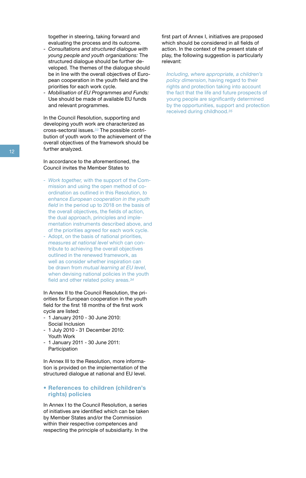together in steering, taking forward and evaluating the process and its outcome.

- *Consultations and structured dialogue with young people and youth organizations:* The structured dialogue should be further developed. The themes of the dialogue should be in line with the overall objectives of European cooperation in the youth field and the priorities for each work cycle.
- *Mobilisation of EU Programmes and Funds:*  Use should be made of available EU funds and relevant programmes.

In the Council Resolution, supporting and developing youth work are characterized as cross-sectoral issues.*33* The possible contribution of youth work to the achievement of the overall objectives of the framework should be further analyzed.

In accordance to the aforementioned, the Council invites the Member States to

- *Work together,* with the support of the Commission and using the open method of coordination as outlined in this Resolution, *to enhance European cooperation in the youth field* in the period up to 2018 on the basis of the overall objectives, the fields of action, the dual approach, principles and implementation instruments described above, and of the priorities agreed for each work cycle.
- Adopt, on the basis of national priorities, *measures at national level* which can contribute to achieving the overall objectives outlined in the renewed framework, as well as consider whether inspiration can be drawn from *mutual learning at EU level*, when devising national policies in the youth field and other related policy areas.*<sup>34</sup>*

In Annex II to the Council Resolution, the priorities for European cooperation in the youth field for the first 18 months of the first work cycle are listed:

- 1 January 2010 30 June 2010: Social Inclusion
- 1 July 2010 31 December 2010: Youth Work
- 1 January 2011 30 June 2011: Participation

In Annex III to the Resolution, more information is provided on the implementation of the structured dialogue at national and EU level.

#### **• References to children (children's rights) policies**

In Annex I to the Council Resolution, a series of initiatives are identified which can be taken by Member States and/or the Commission within their respective competences and respecting the principle of subsidiarity. In the

first part of Annex I, initiatives are proposed which should be considered in all fields of action. In the context of the present state of play, the following suggestion is particularly relevant:

*Including, where appropriate, a children's policy dimension*, having regard to their rights and protection taking into account the fact that the life and future prospects of young people are significantly determined by the opportunities, support and protection received during childhood.*35*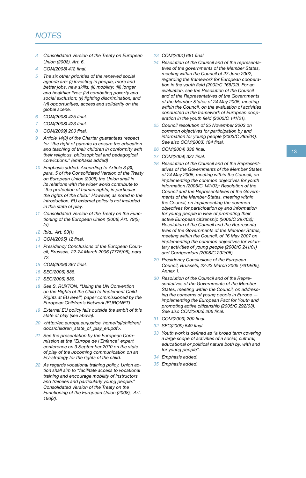#### *NOTES*

- *3 Consolidated Version of the Treaty on European Union (2008), Art. 6.*
- *4 COM(2008) 412 final.*
- *5 The six other priorities of the renewed social agenda are: (i) investing in people, more and better jobs, new skills; (ii) mobility; (iii) longer and healthier lives; (iv) combating poverty and social exclusion; (v) fighting discrimination; and (vi) opportunities, access and solidarity on the global scene.*
- *6 COM(2008) 425 final.*
- *7 COM(2008) 423 final.*
- *8 COM(2009) 200 final.*
- *9 Article 14(3) of the Charter guarantees respect for "the right of parents to ensure the education and teaching of their children in conformity with their religious, philosophical and pedagogical convictions." (emphasis added)*
- *10 Emphasis added. According to Article 3 (3), para. 5 of the Consolidated Version of the Treaty on European Union (2008) the Union shall in its relations with the wider world contribute to "the protection of human rights, in particular the rights of the child." However, as noted in the introduction, EU external policy is not included in this state of play.*
- *11 Consolidated Version of the Treaty on the Functioning of the European Union (2008) Art. 79(2) (d).*
- *12 Ibid., Art. 83(1).*
- *13 COM(2005) 12 final.*
- *14 Presidency Conclusions of the European Council, Brussels, 22-24 March 2006 (7775/06), para. 72.*
- *15 COM(2006) 367 final.*
- *16 SEC(2006) 888.*
- *17 SEC(2006) 889.*
- *18 See S. RUXTON, "Using the UN Convention on the Rights of the Child to Implement Child Rights at EU level", paper commissioned by the European Children's Network (EURONET).*
- *19 External EU policy falls outside the ambit of this state of play (see above).*
- *20 <http://ec.europa.eu/justice\_home/fsj/children/ docs/children\_state\_of\_play\_en.pdf>.*
- *21 See the presentation by the European Commission at the "Europe de l'Enfance" expert conference on 9 September 2010 on the state of play of the upcoming communication on an EU-strategy for the rights of the child.*
- *22 As regards vocational training policy, Union action shall aim to "facilitate access to vocational training and encourage mobility of instructors and trainees and particularly young people." Consolidated Version of the Treaty on the Functioning of the European Union (2008), Art. 166(2).*
- *23 COM(2001) 681 final.*
- *24 Resolution of the Council and of the representatives of the governments of the Member States, meeting within the Council of 27 June 2002, regarding the framework for European cooperation in the youth field (2002/C 168/02). For an evaluation, see the Resolution of the Council and of the Representatives of the Governments of the Member States of 24 May 2005, meeting within the Council, on the evaluation of activities conducted in the framework of European cooperation in the youth field (2005/C 141/01).*
- *25 Council resolution of 25 November 2003 on common objectives for participation by and information for young people (2003/C 295/04). See also COM(2003) 184 final.*
- *26 COM(2004) 336 final.*
- *27 COM(2004) 337 final.*
- *28 Resolution of the Council and of the Representatives of the Governments of the Member States of 24 May 2005, meeting within the Council, on implementing the common objectives for youth information (2005/C 141/03); Resolution of the Council and the Representatives of the Governments of the Member States, meeting within the Council, on implementing the common objectives for participation by and information for young people in view of promoting their active European citizenship (2006/C 297/02); Resolution of the Council and the Representatives of the Governments of the Member States, meeting within the Council, of 16 May 2007 on implementing the common objectives for voluntary activities of young people (2008/C 241/01) and Corrigendum (2008/C 292/06).*
- *29 Presidency Conclusions of the European Council, Brussels, 22-23 March 2005 (7619/05), Annex 1.*
- *30 Resolution of the Council and of the Representatives of the Governments of the Member States, meeting within the Council, on addressing the concerns of young people in Europe implementing the European Pact for Youth and promoting active citizenship (2005/C 292/03). See also COM(2005) 206 final.*
- *31 COM(2009) 200 final.*
- *32 SEC(2009) 549 final.*
- *33 Youth work is defined as "a broad term covering a large scope of activities of a social, cultural, educational or political nature both by, with and for young people".*
- *34 Emphasis added.*
- *35 Emphasis added.*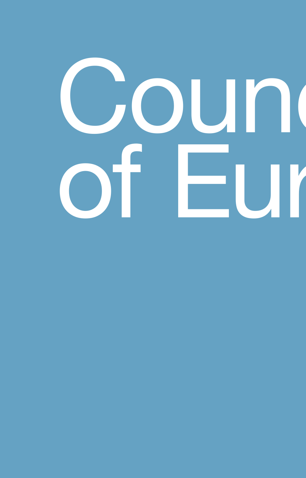# Coun of Europe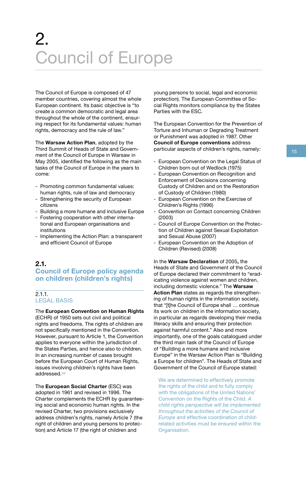## 2. Council of Europe

**COUNC**<br>
The Council of Europ<br>
member countries, co<br>
European continent. I<br>
create a common der<br>
throughout the whole<br>
ing respect for its fun<br>
rights, democracy an<br>
The **Warsaw Action**<br>
Third Summit of Head The Council of Europe is composed of 47 member countries, covering almost the whole European continent. Its basic objective is "to create a common democratic and legal area throughout the whole of the continent, ensuring respect for its fundamental values: human rights, democracy and the rule of law."

The Warsaw Action Plan, adopted by the<br>
Third Summit of Heads of State and Govern-<br>
ment of the Council of Europe in Warsaw in<br>
May 2005, identified the following as the main<br>
May 2005, identified the following as the main The **Warsaw Action Plan**, adopted by the Third Summit of Heads of State and Government of the Council of Europe in Warsaw in May 2005, identified the following as the main tasks of the Council of Europe in the years to come:

- Promoting common fundamental values: human rights, rule of law and democracy
- Strengthening the security of European citizens
- Building a more humane and inclusive Europe
- Fostering cooperation with other international and European organisations and institutions
- Implementing the Action Plan: a transparent and efficient Council of Europe

#### **2.1. Council of Europe policy agenda on children (children's rights)**

#### 2.1.1. LEGAL BASIS

The **European Convention on Human Rights** 

(ECHR) of 1950 sets out civil and political rights and freedoms. The rights of children are not specifically mentioned in the Convention. However, pursuant to Article 1, the Convention applies to everyone within the jurisdiction of the States Parties, and hence also to children. In an increasing number of cases brought before the European Court of Human Rights, issues involving children's rights have been addressed.*<sup>36</sup>*

The **European Social Charter** (ESC) was adopted in 1961 and revised in 1996. The Charter complements the ECHR by guaranteeing social and economic human rights. In the revised Charter, two provisions exclusively address children's rights, namely Article 7 (the right of children and young persons to protection) and Article 17 (the right of children and

young persons to social, legal and economic protection). The European Committee of Social Rights monitors compliance by the States Parties with the ESC.

The European Convention for the Prevention of Torture and Inhuman or Degrading Treatment or Punishment was adopted in 1987. Other **Council of Europe conventions** address particular aspects of children's rights, namely:

- European Convention on the Legal Status of Children born out of Wedlock (1975)
- European Convention on Recognition and Enforcement of Decisions concerning Custody of Children and on the Restoration of Custody of Children (1980)
- European Convention on the Exercise of Children's Rights (1996)
- Convention on Contact concerning Children (2003)
- Council of Europe Convention on the Protection of Children against Sexual Exploitation and Sexual Abuse (2007)
- European Convention on the Adoption of Children (Revised) (2008)

In the **Warsaw Declaration** of 2005**,** the Heads of State and Government of the Council of Europe declared their commitment to "eradicating violence against women and children, including domestic violence." The **Warsaw Action Plan** states as regards the strengthening of human rights in the information society, that "[t]he Council of Europe shall … continue its work on children in the information society, in particular as regards developing their media literacy skills and ensuring their protection against harmful content." Also and more importantly, one of the goals catalogued under the third main task of the Council of Europe of "Building a more humane and inclusive Europe" in the Warsaw Action Plan is "Building a Europe for children". The Heads of State and Government of the Council of Europe stated:

We are determined to effectively promote the rights of the child and to fully comply with the obligations of the United Nations' Convention on the Rights of the Child. *A child rights perspective will be implemented throughout the activities of the Council of Europe* and effective coordination of childrelated activities must be ensured within the Organisation.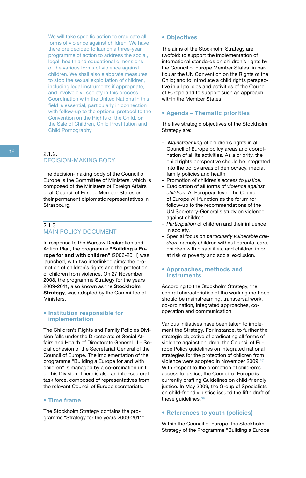We will take specific action to eradicate all forms of violence against children. We have therefore decided to launch a three-year programme of action to address the social, legal, health and educational dimensions of the various forms of violence against children. We shall also elaborate measures to stop the sexual exploitation of children, including legal instruments if appropriate, and involve civil society in this process. Coordination with the United Nations in this field is essential, particularly in connection with follow-up to the optional protocol to the Convention on the Rights of the Child, on the Sale of Children, Child Prostitution and Child Pornography.

#### $212$ DECISION-MAKING BODY

The decision-making body of the Council of Europe is the Committee of Ministers, which is composed of the Ministers of Foreign Affairs of all Council of Europe Member States or their permanent diplomatic representatives in Strasbourg.

#### 2.1.3. MAIN POLICY DOCUMENT

In response to the Warsaw Declaration and Action Plan, the programme **"Building a Europe for and with children"** (2006-2011) was launched, with two interlinked aims: the promotion of children's rights and the protection of children from violence. On 27 November 2008, the programme Strategy for the years 2009-2011, also known as the **Stockholm Strategy**, was adopted by the Committee of Ministers.

#### **• Institution responsible for implementation**

The Children's Rights and Family Policies Division falls under the Directorate of Social Affairs and Health of Directorate General III – Social cohesion of the Secretariat General of the Council of Europe. The implementation of the programme "Building a Europe for and with children" is managed by a co-ordination unit of this Division. There is also an inter-sectoral task force, composed of representatives from the relevant Council of Europe secretariats.

#### **• Time frame**

The Stockholm Strategy contains the programme "Strategy for the years 2009-2011".

#### **• Objectives**

The aims of the Stockholm Strategy are twofold: to support the implementation of international standards on children's rights by the Council of Europe Member States, in particular the UN Convention on the Rights of the Child; and to introduce a child rights perspective in all policies and activities of the Council of Europe and to support such an approach within the Member States.

#### **• Agenda – Thematic priorities**

The five strategic objectives of the Stockholm Strategy are:

- Mainstreaming of children's rights in all Council of Europe policy areas and coordination of all its activities. As a priority, the child rights perspective should be integrated into the policy areas of democracy, media, family policies and health.
- Promotion of children's *access to justice*.
- Eradication of all forms of *violence against children*. At European level, the Council of Europe will function as the forum for follow-up to the recommendations of the UN Secretary-General's study on violence against children.
- *Participation* of children and their influence in society.
- Special focus on *particularly vulnerable children*, namely children without parental care, children with disabilities, and children in or at risk of poverty and social exclusion.

#### **• Approaches, methods and instruments**

According to the Stockholm Strategy, the central characteristics of the working methods should be mainstreaming, transversal work, co-ordination, integrated approaches, cooperation and communication.

Various initiatives have been taken to implement the Strategy. For instance, to further the strategic objective of eradicating all forms of violence against children, the Council of Europe Policy guidelines on integrated national strategies for the protection of children from violence were adopted in November 2009.*<sup>37</sup>* With respect to the promotion of children's access to justice, the Council of Europe is currently drafting Guidelines on child-friendly justice. In May 2009, the Group of Specialists on child-friendly justice issued the fifth draft of these guidelines.*<sup>38</sup>*

#### **• References to youth (policies)**

Within the Council of Europe, the Stockholm Strategy of the Programme "Building a Europe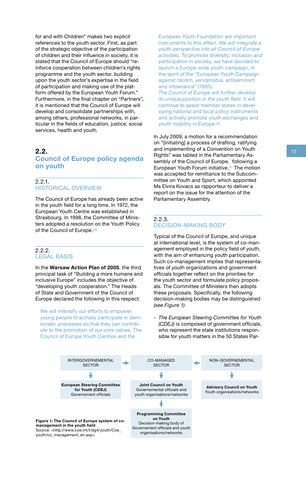for and with Children" makes two explicit references to the youth sector. First, as part of the strategic objective of the participation of children and their influence in society, it is stated that the Council of Europe should "reinforce cooperation between children's rights programme and the youth sector, building upon the youth sector's expertise in the field of participation and making use of the platform offered by the European Youth Forum." Furthermore, in the final chapter on "Partners", it is mentioned that the Council of Europe will develop and consolidate partnerships with, among others, professional networks, in particular in the fields of education, justice, social services, health and youth.

#### **2.2. Council of Europe policy agenda on youth**

#### 2.2.1. HISTORICAL OVERVIEW

The Council of Europe has already been active in the youth field for a long time. In 1972, the European Youth Centre was established in Strasbourg. In 1998, the Committee of Ministers adopted a resolution on the Youth Policy of the Council of Europe.*<sup>39</sup>*

#### 2.2.2. LEGAL BASIS

In the **Warsaw Action Plan of 2005**, the third principal task of "Building a more humane and inclusive Europe" includes the objective of "developing youth cooperation." The Heads of State and Government of the Council of Europe declared the following in this respect:

We will intensify our efforts to empower young people to *actively participate* in democratic processes so that they can contribute to the promotion of our core values. The Council of Europe Youth Centres and the

European Youth Foundation are important instruments to this effect. *We will integrate a youth perspective into all Council of Europe activities.* To promote diversity, inclusion and participation in society, we have decided to launch a Europe-wide youth campaign, in the spirit of the "European Youth Campaign against racism, xenophobia, antisemitism and intolerance" (1995).

*The Council of Europe will further develop its unique position in the youth field.* It will continue to assist member states in developing national and local policy instruments and actively promote youth exchanges and youth mobility in Europe.*<sup>40</sup>*

In July 2009, a motion for a recommendation on "[initiating] a process of drafting, ratifying and implementing of a Convention on Youth Rights" was tabled in the Parliamentary Assembly of the Council of Europe, following a European Youth Forum initiative.*41* The motion was accepted for remittance to the Subcommittee on Youth and Sport, which appointed Ms Elvira Kovacs as rapporteur to deliver a report on the issue for the attention of the Parliamentary Assembly.

#### 2.2.3. DECISION-MAKING BODY

Typical of the Council of Europe, and unique at international level, is the system of co-management employed in the policy field of youth, with the aim of enhancing youth participation. Such co-management implies that representatives of youth organizations and government officials together reflect on the priorities for the youth sector and formulate policy proposals. The Committee of Ministers then adopts these proposals. Specifically, the following decision-making bodies may be distinguished *(see Figure 1)*:

- *The European Steering Committee for Youth (CDEJ)* is composed of government officials, who represent the state institutions responsible for youth matters in the 50 States Par-

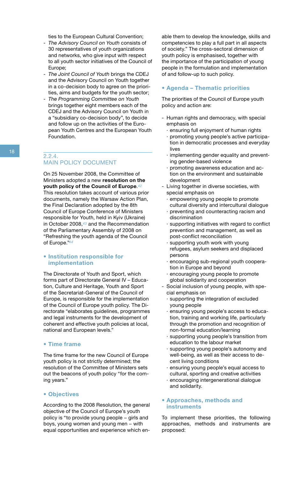ties to the European Cultural Convention;

- *The Advisory Council on Youth* consists of 30 representatives of youth organizations and networks, who give input with respect to all youth sector initiatives of the Council of Europe;
- *The Joint Council of Youth* brings the CDEJ and the Advisory Council on Youth together in a co-decision body to agree on the priorities, aims and budgets for the youth sector;
- *The Programming Committee on Youth*  brings together eight members each of the CDEJ and the Advisory Council on Youth in a "subsidiary co-decision body", to decide and follow up on the activities of the European Youth Centres and the European Youth Foundation.

#### 2.2.4. MAIN POLICY DOCUMENT

On 25 November 2008, the Committee of Ministers adopted a new **resolution on the youth policy of the Council of Europe**.*<sup>42</sup>* This resolution takes account of various prior documents, namely the Warsaw Action Plan, the Final Declaration adopted by the 8th Council of Europe Conference of Ministers responsible for Youth, held in Kyiv (Ukraine) in October 2008,*43* and the Recommendation of the Parliamentary Assembly of 2008 on "Refreshing the youth agenda of the Council of Europe."*<sup>44</sup>*

#### **• Institution responsible for implementation**

The Directorate of Youth and Sport, which forms part of Directorate General IV – Education, Culture and Heritage, Youth and Sport of the Secretariat-General of the Council of Europe, is responsible for the implementation of the Council of Europe youth policy. The Directorate "elaborates guidelines, programmes and legal instruments for the development of coherent and effective youth policies at local, national and European levels."

#### **• Time frame**

The time frame for the new Council of Europe youth policy is not strictly determined; the resolution of the Committee of Ministers sets out the beacons of youth policy "for the coming years."

#### **• Objectives**

According to the 2008 Resolution, the general objective of the Council of Europe's youth policy is "to provide young people − girls and boys, young women and young men − with equal opportunities and experience which en-

able them to develop the knowledge, skills and competencies to play a full part in all aspects of society." The cross-sectoral dimension of youth policy is emphasised, together with the importance of the participation of young people in the formulation and implementation of and follow-up to such policy.

#### **• Agenda – Thematic priorities**

The priorities of the Council of Europe youth policy and action are:

- Human rights and democracy, with special emphasis on
	- · ensuring full enjoyment of human rights
	- · promoting young people's active participation in democratic processes and everyday lives
	- · implementing gender equality and preventing gender-based violence
	- · promoting awareness education and action on the environment and sustainable development
- Living together in diverse societies, with special emphasis on
	- · empowering young people to promote cultural diversity and intercultural dialogue
	- · preventing and counteracting racism and discrimination
	- · supporting initiatives with regard to conflict prevention and management, as well as post-conflict reconciliation
	- supporting youth work with young refugees, asylum seekers and displaced persons
	- · encouraging sub-regional youth cooperation in Europe and beyond
	- encouraging young people to promote global solidarity and cooperation
- Social inclusion of young people, with special emphasis on
	- · supporting the integration of excluded young people
- · ensuring young people's access to education, training and working life, particularly through the promotion and recognition of non-formal education/learning
- · supporting young people's transition from education to the labour market
- · supporting young people's autonomy and well-being, as well as their access to decent living conditions
- · ensuring young people's equal access to cultural, sporting and creative activities
- · encouraging intergenerational dialogue and solidarity.

#### **• Approaches, methods and instruments**

To implement these priorities, the following approaches, methods and instruments are proposed: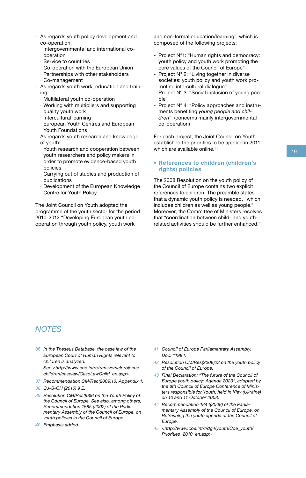- As regards youth policy development and co-operation:
	- · Intergovernmental and international cooperation
	- · Service to countries
	- · Co-operation with the European Union
	- · Partnerships with other stakeholders
	- · Co-management
- As regards youth work, education and training:
	- · Multilateral youth co-operation
	- · Working with multipliers and supporting quality youth work
	- · Intercultural learning
	- · European Youth Centres and European Youth Foundations
- As regards youth research and knowledge of youth:
	- · Youth research and cooperation between youth researchers and policy makers in order to promote evidence-based youth policies
	- · Carrying out of studies and production of publications
	- · Development of the European Knowledge Centre for Youth Policy

The Joint Council on Youth adopted the programme of the youth sector for the period 2010-2012 "Developing European youth cooperation through youth policy, youth work

and non-formal education/learning", which is composed of the following projects:

- Project N°1: "Human rights and democracy: youth policy and youth work promoting the core values of the Council of Europe"-
- Project N° 2: "Living together in diverse societies: youth policy and youth work promoting intercultural dialogue"
- Project N° 3: "Social inclusion of young people"
- Project N° 4: "Policy approaches and instruments benefiting *young people and children*" (concerns mainly intergovernmental co-operation)

For each project, the Joint Council on Youth established the priorities to be applied in 2011, which are available online.*<sup>45</sup>*

#### **• References to children (children's rights) policies**

The 2008 Resolution on the youth policy of the Council of Europe contains two explicit references to children. The preamble states that a dynamic youth policy is needed, "which includes children as well as young people." Moreover, the Committee of Ministers resolves that "coordination between child- and youthrelated activities should be further enhanced."

#### *NOTES*

- *36 In the Theseus Database, the case law of the European Court of Human Rights relevant to children is analyzed. See <http://www.coe.int/t/transversalprojects/ children/caselaw/CaseLawChild\_en.asp>.*
- *37 Recommendation CM/Rec(2009)10, Appendix 1.*
- *38 CJ-S-CH (2010) 9 E.*
- *39 Resolution CM/Res(98)6 on the Youth Policy of the Council of Europe. See also, among others, Recommendation 1585 (2002) of the Parliamentary Assembly of the Council of Europe, on youth policies in the Council of Europe.*
- *40 Emphasis added.*
- *41 Council of Europe Parliamentary Assembly, Doc. 11984.*
- *42 Resolution CM/Res(2008)23 on the youth policy of the Council of Europe.*
- *43 Final Declaration: "The future of the Council of Europe youth policy: Agenda 2020", adopted by the 8th Council of Europe Conference of Ministers responsible for Youth, held in Kiev (Ukraine) on 10 and 11 October 2008.*
- *44 Recommendation 1844(2008) of the Parliamentary Assembly of the Council of Europe, on Refreshing the youth agenda of the Council of Europe.*
- *45 <http://www.coe.int/t/dg4/youth/Coe\_youth/ Priorities\_2010\_en.asp>.*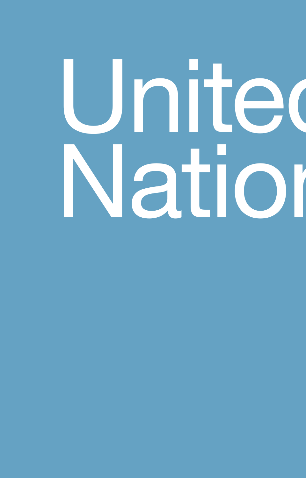# United Nation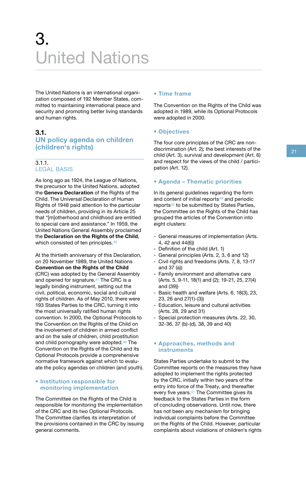## 3. United Nations

The Theorem<br>
The zem<br>
se ar<br>
3<br>
U<br>
(C The United Nations is an international organization composed of 192 Member States, committed to maintaining international peace and security and promoting better living standards and human rights.

#### **3.1. UN policy agenda on children (children's rights)**

#### 3.1.1. LEGAL BASIS

UN policy agenda on children<br>
(children's rights)<br>
3.1.1. The four core principles of the CRC are non-<br>
discrimination (Art. 2); the best interests of the<br>
child (Art. 3), survival and development (Art. 6)<br>
21<br>
21<br>
21<br>
23 As long ago as 1924, the League of Nations, the precursor to the United Nations, adopted the **Geneva Declaration** of the Rights of the Child. The Universal Declaration of Human Rights of 1948 paid attention to the particular needs of children, providing in its Article 25 that "[m]otherhood and childhood are entitled to special care and assistance." In 1959, the United Nations General Assembly proclaimed the **Declaration on the Rights of the Child**, which consisted of ten principles.*<sup>46</sup>*

> At the thirtieth anniversary of this Declaration, on 20 November 1989, the United Nations **Convention on the Rights of the Child** (CRC) was adopted by the General Assembly and opened for signature.*47* The CRC is a legally binding instrument, setting out the civil, political, economic, social and cultural rights of children. As of May 2010, there were 193 States Parties to the CRC, turning it into the most universally ratified human rights convention. In 2000, the Optional Protocols to the Convention on the Rights of the Child on the involvement of children in armed conflict and on the sale of children, child prostitution and child pornography were adopted.*48* The Convention on the Rights of the Child and its Optional Protocols provide a comprehensive normative framework against which to evaluate the policy agendas on children (and youth).

#### **• Institution responsible for monitoring implementation**

The Committee on the Rights of the Child is responsible for monitoring the implementation of the CRC and its two Optional Protocols. The Committee clarifies its interpretation of the provisions contained in the CRC by issuing general comments.

#### **• Time frame**

The Convention on the Rights of the Child was adopted in 1989, while its Optional Protocols were adopted in 2000.

#### **• Objectives**

The four core principles of the CRC are nondiscrimination (Art. 2); the best interests of the child (Art. 3), survival and development (Art. 6) and respect for the views of the child / participation (Art. 12).

#### **• Agenda – Thematic priorities**

In its general guidelines regarding the form and content of initial reports*49* and periodic reports*50* to be submitted by States Parties, the Committee on the Rights of the Child has grouped the articles of the Convention into eight clusters:

- General measures of implementation (Arts. 4, 42 and 44(6))
- Definition of the child (Art. 1)
- General principles (Arts. 2, 3, 6 and 12)
- Civil rights and freedoms (Arts. 7, 8, 13-17 and 37 (a))
- Family environment and alternative care (Arts. 5, 9-11, 18(1) and (2); 19-21, 25, 27(4) and (39))
- Basic health and welfare (Arts. 6, 18(3), 23, 23, 26 and 27(1)-(3))
- Education, leisure and cultural activities (Arts. 28, 29 and 31)
- Special protection measures (Arts. 22, 30, 32-36, 37 (b)-(d), 38, 39 and 40)

#### **• Approaches, methods and instruments**

States Parties undertake to submit to the Committee reports on the measures they have adopted to implement the rights protected by the CRC, initially within two years of the entry into force of the Treaty, and thereafter every five years.*51* The Committee gives its feedback to the States Parties in the form of concluding observations. Until now, there has not been any mechanism for bringing individual complaints before the Committee on the Rights of the Child. However, particular complaints about violations of children's rights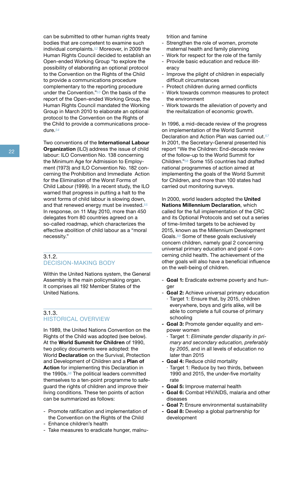can be submitted to other human rights treaty bodies that are competent to examine such individual complaints.*52* Moreover, in 2009 the Human Rights Council decided to establish an Open-ended Working Group "to explore the possibility of elaborating an optional protocol to the Convention on the Rights of the Child to provide a communications procedure complementary to the reporting procedure under the Convention."*53* On the basis of the report of the Open-ended Working Group, the Human Rights Council mandated the Working Group in March 2010 to elaborate an optional protocol to the Convention on the Rights of the Child to provide a communications procedure.*<sup>54</sup>*

Two conventions of the **International Labour Organization** (ILO) address the issue of child labour: ILO Convention No. 138 concerning the Minimum Age for Admission to Employment (1973) and ILO Convention No. 182 concerning the Prohibition and Immediate Action for the Elimination of the Worst Forms of Child Labour (1999). In a recent study, the ILO warned that progress in putting a halt to the worst forms of child labour is slowing down, and that renewed energy must be invested.*<sup>55</sup>* In response, on 11 May 2010, more than 450 delegates from 80 countries agreed on a so-called roadmap, which characterizes the effective abolition of child labour as a "moral necessity."

#### 3.1.2. DECISION-MAKING BODY

Within the United Nations system, the General Assembly is the main policymaking organ. It comprises all 192 Member States of the United Nations.

#### 3.1.3. HISTORICAL OVERVIEW

In 1989, the United Nations Convention on the Rights of the Child was adopted (see below). At the **World Summit for Children** of 1990, two policy documents were adopted: the World **Declaration** on the Survival, Protection and Development of Children and a **Plan of Action** for implementing this Declaration in the 1990s.*56* The political leaders committed themselves to a ten-point programme to safeguard the rights of children and improve their living conditions. These ten points of action can be summarized as follows:

- Promote ratification and implementation of the Convention on the Rights of the Child
- Enhance children's health
- Take measures to eradicate hunger, malnu-

trition and famine

- Strengthen the role of women, promote maternal health and family planning
- Work for respect for the role of the family
- Provide basic education and reduce illiteracy
- Improve the plight of children in especially difficult circumstances
- Protect children during armed conflicts
- Work towards common measures to protect the environment
- Work towards the alleviation of poverty and the revitalization of economic growth.

In 1996, a mid-decade review of the progress on implementation of the World Summit Declaration and Action Plan was carried out.*<sup>57</sup>* In 2001, the Secretary-General presented his report "We the Children: End-decade review of the follow-up to the World Summit for Children."*58* Some 155 countries had drafted national programmes of action aimed at implementing the goals of the World Summit for Children, and more than 100 states had carried out monitoring surveys.

In 2000, world leaders adopted the **United Nations Millennium Declaration**, which called for the full implementation of the CRC and its Optional Protocols and set out a series of time-limited targets to be achieved by 2015, known as the Millennium Development Goals.*59* Some of these goals exclusively concern children, namely goal 2 concerning universal primary education and goal 4 concerning child health. The achievement of the other goals will also have a beneficial influence on the well-being of children.

- **Goal 1:** Eradicate extreme poverty and hunger
- Goal 2: Achieve universal primary education · Target 1: Ensure that, by 2015, children everywhere, boys and girls alike, will be able to complete a full course of primary schooling
- **- Goal 3:** Promote gender equality and empower women
	- · Target 1: *Eliminate gender disparity in primary and secondary education, preferably by 2005*, and in all levels of education no later than 2015
- **- Goal 4:** Reduce child mortality
	- · Target 1: Reduce by two thirds, between 1990 and 2015, the under-five mortality rate
- **- Goal 5:** Improve maternal health
- **- Goal 6:** Combat HIV/AIDS, malaria and other diseases
- **- Goal 7:** Ensure environmental sustainability
- **- Goal 8:** Develop a global partnership for development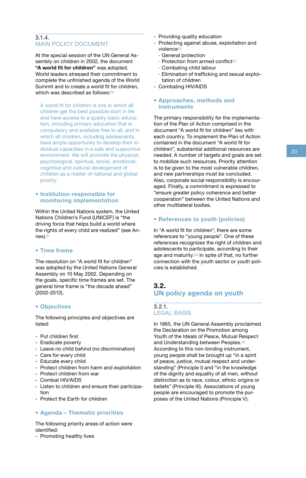#### 3.1.4. MAIN POLICY DOCUMENT

At the special session of the UN General Assembly on children in 2002, the document **"A world fit for children"** was adopted. World leaders stressed their commitment to complete the unfinished agenda of the World Summit and to create a world fit for children, which was described as follows:*<sup>60</sup>*

A world fit for children is one in which all children get the best possible start in life and have access to a quality basic education, including primary education that is compulsory and available free to all, and in which all children, including adolescents, have ample opportunity to develop their individual capacities in a safe and supportive environment. We will promote the physical, psychological, spiritual, social, emotional, cognitive and cultural development of children as a matter of national and global priority.

#### **• Institution responsible for monitoring implementation**

Within the United Nations system, the United Nations Children's Fund (UNICEF) is "the driving force that helps build a world where the rights of every child are realized" (see Annex).*<sup>61</sup>*

#### **• Time frame**

The resolution on "A world fit for children" was adopted by the United Nations General Assembly on 10 May 2002. Depending on the goals, specific time frames are set. The general time frame is "the decade ahead" (2002-2012).

#### **• Objectives**

The following principles and objectives are listed:

- Put children first
- Eradicate poverty
- Leave no child behind (no discrimination)
- Care for every child
- Educate every child
- Protect children from harm and exploitation
- Protect children from war
- Combat HIV/AIDS
- Listen to children and ensure their participation
- Protect the Earth for children

#### **• Agenda – Thematic priorities**

The following priority areas of action were identified:

- Promoting healthy lives

- Providing quality education
- Protecting against abuse, exploitation and violence*<sup>62</sup>*
	- · General protection
	- · Protection from armed conflict*<sup>63</sup>*
	- · Combating child labour
	- · Elimination of trafficking and sexual exploitation of children
- Combating HIV/AIDS

#### **• Approaches, methods and instruments**

The primary responsibility for the implementation of the Plan of Action comprised in the document "A world fit for children" lies with each country. To implement the Plan of Action contained in the document "A world fit for children", substantial additional resources are needed. A number of targets and goals are set to mobilize such resources. Priority attention is to be given to the most vulnerable children, and new partnerships must be concluded. Also, corporate social responsibility is encouraged. Finally, a commitment is expressed to "ensure greater policy coherence and better cooperation" between the United Nations and other multilateral bodies.

#### **• References to youth (policies)**

In "A world fit for children", there are some references to "young people". One of these references recognizes the right of children and adolescents to participate, according to their age and maturity.*64* In spite of that, no further connection with the youth sector or youth policies is established.

#### **3.2. UN policy agenda on youth**

#### 3.2.1. LEGAL BASIS

In 1965, the UN General Assembly proclaimed the Declaration on the Promotion among Youth of the Ideals of Peace, Mutual Respect and Understanding between Peoples.*<sup>65</sup>* According to this non-binding instrument, young people shall be brought up "in a spirit of peace, justice, mutual respect and understanding" (Principle I) and "in the knowledge of the dignity and equality of all men, without distinction as to race, colour, ethnic origins or beliefs" (Principle III). Associations of young people are encouraged to promote the purposes of the United Nations (Principle V).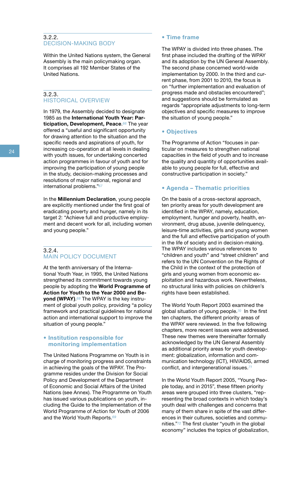#### 3.2.2. DECISION-MAKING BODY

Within the United Nations system, the General Assembly is the main policymaking organ. It comprises all 192 Member States of the United Nations.

#### 3.2.3. HISTORICAL OVERVIEW

In 1979, the Assembly decided to designate 1985 as the **International Youth Year: Participation, Development, Peace**.*66* The year offered a "useful and significant opportunity for drawing attention to the situation and the specific needs and aspirations of youth, for increasing co-operation at all levels in dealing with youth issues, for undertaking concerted action programmes in favour of youth and for improving the participation of young people in the study, decision-making processes and resolutions of major national, regional and international problems."*<sup>67</sup>*

In the **Millennium Declaration**, young people are explicitly mentioned under the first goal of eradicating poverty and hunger, namely in its target 2: "Achieve full and productive employment and decent work for all, including women and young people."

#### 3.2.4. MAIN POLICY DOCUMENT

At the tenth anniversary of the International Youth Year, in 1995, the United Nations strengthened its commitment towards young people by adopting the **World Programme of Action for Youth to the Year 2000 and Beyond (WPAY)**.*68* The WPAY is the key instrument of global youth policy, providing "a policy framework and practical guidelines for national action and international support to improve the situation of young people."

#### **• Institution responsible for monitoring implementation**

The United Nations Programme on Youth is in charge of monitoring progress and constraints in achieving the goals of the WPAY. The Programme resides under the Division for Social Policy and Development of the Department of Economic and Social Affairs of the United Nations (see Annex). The Programme on Youth has issued various publications on youth, including the Guide to the Implementation of the World Programme of Action for Youth of 2006 and the World Youth Reports.*<sup>69</sup>*

#### **• Time frame**

The WPAY is divided into three phases. The first phase included the drafting of the WPAY and its adoption by the UN General Assembly. The second phase concerned world-wide implementation by 2000. In the third and current phase, from 2001 to 2010, the focus is on "further implementation and evaluation of progress made and obstacles encountered"; and suggestions should be formulated as regards "appropriate adjustments to long-term objectives and specific measures to improve the situation of young people."

#### **• Objectives**

The Programme of Action "focuses in particular on measures to strengthen national capacities in the field of youth and to increase the quality and quantity of opportunities available to young people for full, effective and constructive participation in society."

#### **• Agenda – Thematic priorities**

On the basis of a cross-sectoral approach, ten priority areas for youth development are identified in the WPAY, namely, education, employment, hunger and poverty, health, environment, drug abuse, juvenile delinquency, leisure-time activities, girls and young women and the full and effective participation of youth in the life of society and in decision-making. The WPAY includes various references to "children and youth" and "street children" and refers to the UN Convention on the Rights of the Child in the context of the protection of girls and young women from economic exploitation and hazardous work. Nevertheless, no structural links with policies on children's rights have been established.

The World Youth Report 2003 examined the global situation of young people.*70* In the first ten chapters, the different priority areas of the WPAY were reviewed. In the five following chapters, more recent issues were addressed. These new themes were thereinafter formally acknowledged by the UN General Assembly as additional priority areas for youth development: globalization, information and communication technology (ICT), HIV/AIDS, armed conflict, and intergenerational issues.*<sup>71</sup>*

In the World Youth Report 2005, "Young People today, and in 2015", these fifteen priority areas were grouped into three clusters, "representing the broad contexts in which today's youth deal with challenges and concerns that many of them share in spite of the vast differences in their cultures, societies and communities."*72* The first cluster "youth in the global economy" includes the topics of globalization,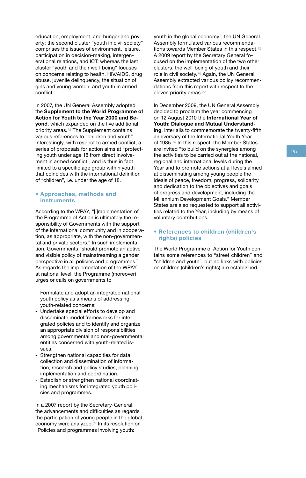education, employment, and hunger and poverty; the second cluster "youth in civil society" comprises the issues of environment, leisure, participation in decision-making, intergenerational relations, and ICT; whereas the last cluster "youth and their well-being" focuses on concerns relating to health, HIV/AIDS, drug abuse, juvenile delinquency, the situation of girls and young women, and youth in armed conflict.

In 2007, the UN General Assembly adopted the **Supplement to the World Programme of Action for Youth to the Year 2000 and Beyond**, which expanded on the five additional priority areas.*73* The Supplement contains various references to "children and youth". Interestingly, with respect to armed conflict, a series of proposals for action aims at "protecting youth under age 18 from direct involvement in armed conflict", and is thus in fact limited to a specific age group within youth that coincides with the international definition of "children", i.e. under the age of 18.

#### **• Approaches, methods and instruments**

According to the WPAY, "[i]mplementation of the Programme of Action is ultimately the responsibility of Governments with the support of the international community and in cooperation, as appropriate, with the non-governmental and private sectors." In such implementation, Governments "should promote an active and visible policy of mainstreaming a gender perspective in all policies and programmes." As regards the implementation of the WPAY at national level, the Programme (moreover) urges or calls on governments to

- Formulate and adopt an integrated national youth policy as a means of addressing youth-related concerns;
- Undertake special efforts to develop and disseminate model frameworks for integrated policies and to identify and organize an appropriate division of responsibilities among governmental and non-governmental entities concerned with youth-related issues.
- Strengthen national capacities for data collection and dissemination of information, research and policy studies, planning, implementation and coordination.
- Establish or strengthen national coordinating mechanisms for integrated youth policies and programmes.

In a 2007 report by the Secretary-General, the advancements and difficulties as regards the participation of young people in the global economy were analyzed.*74* In its resolution on "Policies and programmes involving youth:

youth in the global economy", the UN General Assembly formulated various recommendations towards Member States in this respect.*<sup>75</sup>* A 2009 report by the Secretary General focused on the implementation of the two other clusters, the well-being of youth and their role in civil society.*76* Again, the UN General Assembly extracted various policy recommendations from this report with respect to the eleven priority areas:*<sup>77</sup>*

In December 2009, the UN General Assembly decided to proclaim the year commencing on 12 August 2010 the **International Year of Youth: Dialogue and Mutual Understanding**, inter alia to commemorate the twenty-fifth anniversary of the International Youth Year of 1985.*78* In this respect, the Member States are invited "to build on the synergies among the activities to be carried out at the national, regional and international levels during the Year and to promote actions at all levels aimed at disseminating among young people the ideals of peace, freedom, progress, solidarity and dedication to the objectives and goals of progress and development, including the Millennium Development Goals." Member States are also requested to support all activities related to the Year, including by means of voluntary contributions.

#### **• References to children (children's rights) policies**

The World Programme of Action for Youth contains some references to "street children" and "children and youth", but no links with policies on children (children's rights) are established.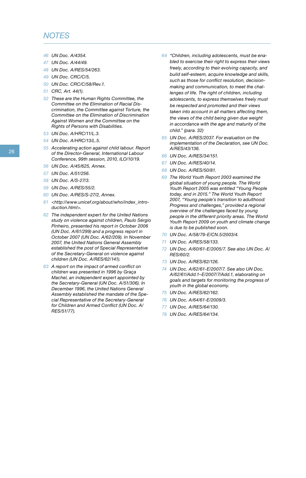#### *NOTES*

- *46 UN Doc. A/4354.*
- *47 UN Doc. A/44/49.*
- *48 UN Doc. A/RES/54/263.*
- *49 UN Doc. CRC/C/5.*
- *50 UN Doc. CRC/C/58/Rev.1.*
- *51 CRC, Art. 44(1).*
- *52 These are the Human Rights Committee, the Committee on the Elimination of Racial Discrimination, the Committee against Torture, the Committee on the Elimination of Discrimination Against Women and the Committee on the Rights of Persons with Disabilities.*
- *53 UN Doc. A/HRC/11/L.3.*
- *54 UN Doc. A/HRC/13/L.5.*
- *55 Accelerating action against child labour. Report of the Director-General, International Labour Conference, 99th session, 2010, ILO/10/19.*
- *56 UN Doc. A/45/625, Annex.*
- *57 UN Doc. A/51/256.*
- *58 UN Doc. A/S-27/3.*
- *59 UN Doc. A/RES/55/2.*
- *60 UN Doc. A/RES/S-27/2, Annex.*
- *61 <http://www.unicef.org/about/who/index\_introduction.html>.*
- *62 The independent expert for the United Nations study on violence against children, Paulo Sérgio Pinheiro, presented his report in October 2006 (UN Doc. A/61/299) and a progress report in October 2007 (UN Doc. A/62/209). In November 2007, the United Nations General Assembly established the post of Special Representative of the Secretary-General on violence against children (UN Doc. A/RES/62/141).*
- *63 A report on the impact of armed conflict on children was presented in 1996 by Graça Machel, an independent expert appointed by the Secretary-General (UN Doc. A/51/306). In December 1996, the United Nations General Assembly established the mandate of the Special Representative of the Secretary-General for Children and Armed Conflict (UN Doc. A/ RES/51/77).*
- *64 "Children, including adolescents, must be enabled to exercise their right to express their views freely, according to their evolving capacity, and build self-esteem, acquire knowledge and skills, such as those for conflict resolution, decisionmaking and communication, to meet the challenges of life. The right of children, including adolescents, to express themselves freely must be respected and promoted and their views taken into account in all matters affecting them, the views of the child being given due weight in accordance with the age and maturity of the child." (para. 32)*
- *65 UN Doc. A/RES/2037. For evaluation on the implementation of the Declaration, see UN Doc. A/RES/43/136.*
- *66 UN Doc. A/RES/34/151.*
- *67 UN Doc. A/RES/40/14.*
- *68 UN Doc. A/RES/50/81.*
- *69 The World Youth Report 2003 examined the global situation of young people. The World Youth Report 2005 was entitled "Young People today, and in 2015." The World Youth Report 2007, "Young people's transition to adulthood: Progress and challenges," provided a regional overview of the challenges faced by young people in the different priority areas. The World Youth Report 2009 on youth and climate change is due to be published soon.*
- *70 UN Doc. A/58/79-E/CN.5/2003/4.*
- *71 UN Doc. A/RES/58/133.*
- *72 UN Doc. A/60/61-E/2005/7. See also UN Doc. A/ RES/60/2.*
- *73 UN Doc. A/RES/62/126.*
- *74 UN Doc. A/62/61-E/2007/7. See also UN Doc. A/62/61/Add.1–E/2007/7/Add.1, elaborating on goals and targets for monitoring the progress of youth in the global economy.*
- *75 UN Doc. A/RES/62/162.*
- *76 UN Doc. A/64/61-E/2009/3.*
- *77 UN Doc. A/RES/64/130.*
- *78 UN Doc. A/RES/64/134.*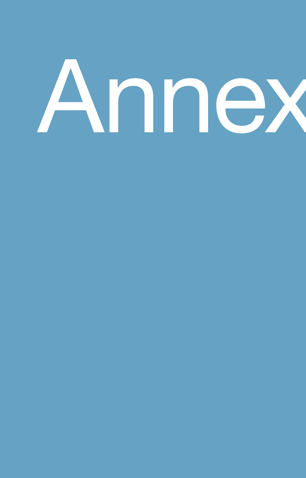# Annex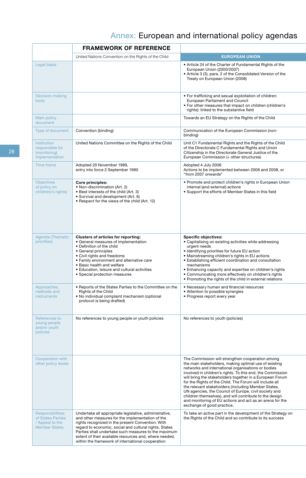### Annex: European and international policy agendas

|                                                                                  | <b>FRAMEWORK OF REFERENCE</b>                                                                                                                                                                                                                                                                                                                                                                    |                                                                                                                                                                                                                                                                                                                                                                                                                                                                                                                                                                                                                           |  |
|----------------------------------------------------------------------------------|--------------------------------------------------------------------------------------------------------------------------------------------------------------------------------------------------------------------------------------------------------------------------------------------------------------------------------------------------------------------------------------------------|---------------------------------------------------------------------------------------------------------------------------------------------------------------------------------------------------------------------------------------------------------------------------------------------------------------------------------------------------------------------------------------------------------------------------------------------------------------------------------------------------------------------------------------------------------------------------------------------------------------------------|--|
|                                                                                  | United Nations Convention on the Rights of the Child                                                                                                                                                                                                                                                                                                                                             | <b>EUROPEAN UNION</b>                                                                                                                                                                                                                                                                                                                                                                                                                                                                                                                                                                                                     |  |
| Legal basis                                                                      |                                                                                                                                                                                                                                                                                                                                                                                                  | • Article 24 of the Charter of Fundamental Rights of the<br>European Union (2000/2007)<br>• Article 3 (3), para. 2 of the Consolidated Version of the<br>Treaty on European Union (2008)                                                                                                                                                                                                                                                                                                                                                                                                                                  |  |
| Decision-making<br>body                                                          |                                                                                                                                                                                                                                                                                                                                                                                                  | • For trafficking and sexual exploitation of children:<br>European Parliament and Council<br>. For other measures that impact on children (children's<br>rights): linked to the substantive field                                                                                                                                                                                                                                                                                                                                                                                                                         |  |
| Main policy<br>document                                                          |                                                                                                                                                                                                                                                                                                                                                                                                  | Towards an EU Strategy on the Rights of the Child                                                                                                                                                                                                                                                                                                                                                                                                                                                                                                                                                                         |  |
| Type of document                                                                 | Convention (binding)                                                                                                                                                                                                                                                                                                                                                                             | Communication of the European Commission (non-<br>binding)                                                                                                                                                                                                                                                                                                                                                                                                                                                                                                                                                                |  |
| Institution<br>responsible for<br>(monitoring)<br><b>implementation</b>          | United Nations Committee on the Rights of the Child                                                                                                                                                                                                                                                                                                                                              | Unit C1 Fundamental Rights and the Rights of the Child<br>of the Directorate C Fundamental Rights and Union<br>Citizenship in the Directorate General Justice of the<br>European Commission (+ other structures)                                                                                                                                                                                                                                                                                                                                                                                                          |  |
| Time frame                                                                       | Adopted 20 November 1989,<br>entry into force 2 September 1990                                                                                                                                                                                                                                                                                                                                   | Adopted 4 July 2006<br>Actions to be implemented between 2006 and 2008, or<br>"from 2007 onwards"                                                                                                                                                                                                                                                                                                                                                                                                                                                                                                                         |  |
| <b>Objectives</b><br>of policy on<br>children('s rights)                         | Core principles:<br>• Non-discrimination (Art. 2)<br>• Best interests of the child (Art. 3)<br>• Survival and development (Art. 6)<br>• Respect for the views of the child (Art. 12)                                                                                                                                                                                                             | • Promote and protect children's rights in European Union<br>internal (and external) actions<br>• Support the efforts of Member States in this field                                                                                                                                                                                                                                                                                                                                                                                                                                                                      |  |
| Agenda (Thematic<br>priorities)                                                  | <b>Clusters of articles for reporting:</b><br>• General measures of implementation<br>• Definition of the child<br>• General principles<br>• Civil rights and freedoms<br>• Family environment and alternative care<br>• Basic health and welfare<br>• Education, leisure and cultural activities<br>• Special protection measures                                                               | <b>Specific objectives:</b><br>• Capitalising on existing activities while addressing<br>urgent needs<br>• Identifying priorities for future EU action<br>• Mainstreaming children's rights in EU actions<br>• Establishing efficient coordination and consultation<br>mechanisms<br>• Enhancing capacity and expertise on children's rights<br>• Communicating more effectively on children's rights<br>• Promoting the rights of the child in external relations                                                                                                                                                        |  |
| Approaches,<br>methods and<br>instruments                                        | • Reports of the States Parties to the Committee on the<br>Rights of the Child<br>• No individual complaint mechanism (optional<br>protocol is being drafted)                                                                                                                                                                                                                                    | • Necessary human and financial resources<br>• Attention to possible synergies<br>• Progress report every year                                                                                                                                                                                                                                                                                                                                                                                                                                                                                                            |  |
| References to<br>young people<br>and/or youth<br>policies                        | No references to young people or youth policies                                                                                                                                                                                                                                                                                                                                                  | No references to youth (policies)                                                                                                                                                                                                                                                                                                                                                                                                                                                                                                                                                                                         |  |
| Cooperation with<br>other policy levels                                          |                                                                                                                                                                                                                                                                                                                                                                                                  | The Commission will strengthen cooperation among<br>the main stakeholders, making optimal use of existing<br>networks and international organisations or bodies<br>involved in children's rights. To this end, the Commission<br>will bring the stakeholders together in a European Forum<br>for the Rights of the Child. The Forum will include all<br>the relevant stakeholders (including Member States,<br>UN agencies, the Council of Europe, civil society and<br>children themselves), and will contribute to the design<br>and monitoring of EU actions and act as an arena for the<br>exchange of good practice. |  |
| Responsibilities<br>of States Parties<br>/ Appeal to the<br><b>Member States</b> | Undertake all appropriate legislative, administrative,<br>and other measures for the implementation of the<br>rights recognized in the present Convention. With<br>regard to economic, social and cultural rights, States<br>Parties shall undertake such measures to the maximum<br>extent of their available resources and, where needed,<br>within the framework of international cooperation | To take an active part in the development of the Strategy on<br>the Rights of the Child and so contribute to its success                                                                                                                                                                                                                                                                                                                                                                                                                                                                                                  |  |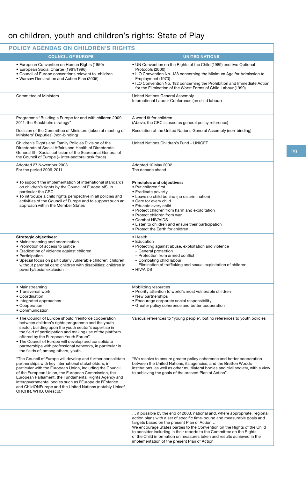### on children, youth and children's rights: State of Play

| <b>POLICY AGENDAS ON CHILDREN'S RIGHTS</b>                                                                                                                                                                                                                                                                                                                                                                                                        |                                                                                                                                                                                                                                                                                                                                                                                                                                                                                    |
|---------------------------------------------------------------------------------------------------------------------------------------------------------------------------------------------------------------------------------------------------------------------------------------------------------------------------------------------------------------------------------------------------------------------------------------------------|------------------------------------------------------------------------------------------------------------------------------------------------------------------------------------------------------------------------------------------------------------------------------------------------------------------------------------------------------------------------------------------------------------------------------------------------------------------------------------|
| <b>COUNCIL OF EUROPE</b>                                                                                                                                                                                                                                                                                                                                                                                                                          | <b>UNITED NATIONS</b>                                                                                                                                                                                                                                                                                                                                                                                                                                                              |
| • European Convention on Human Rights (1950)<br>• European Social Charter (1961/1996)<br>• Council of Europe conventions relevant to children<br>• Warsaw Declaration and Action Plan (2005)                                                                                                                                                                                                                                                      | • UN Convention on the Rights of the Child (1989) and two Optional<br>Protocols (2000)<br>. ILO Convention No. 138 concerning the Minimum Age for Admission to<br>Employment (1973)<br>. ILO Convention No. 182 concerning the Prohibition and Immediate Action<br>for the Elimination of the Worst Forms of Child Labour (1999)                                                                                                                                                   |
| <b>Committee of Ministers</b>                                                                                                                                                                                                                                                                                                                                                                                                                     | United Nations General Assembly<br>International Labour Conference (on child labour)                                                                                                                                                                                                                                                                                                                                                                                               |
| Programme "Building a Europe for and with children 2009-<br>2011: the Stockholm strategy"                                                                                                                                                                                                                                                                                                                                                         | A world fit for children<br>(Above, the CRC is used as general policy reference)                                                                                                                                                                                                                                                                                                                                                                                                   |
| Decision of the Committee of Ministers (taken at meeting of<br>Ministers' Deputies) (non-binding)                                                                                                                                                                                                                                                                                                                                                 | Resolution of the United Nations General Assembly (non-binding)                                                                                                                                                                                                                                                                                                                                                                                                                    |
| Children's Rights and Family Policies Division of the<br>Directorate of Social Affairs and Health of Directorate<br>General III - Social cohesion of the Secretariat General of<br>the Council of Europe (+ inter-sectoral task force)                                                                                                                                                                                                            | United Nations Children's Fund - UNICEF                                                                                                                                                                                                                                                                                                                                                                                                                                            |
| Adopted 27 November 2008<br>For the period 2009-2011                                                                                                                                                                                                                                                                                                                                                                                              | Adopted 10 May 2002<br>The decade ahead                                                                                                                                                                                                                                                                                                                                                                                                                                            |
| • To support the implementation of international standards<br>on children's rights by the Council of Europe MS, in<br>particular the CRC<br>. To introduce a child rights perspective in all policies and<br>activities of the Council of Europe and to support such an<br>approach within the Member States                                                                                                                                      | Principles and objectives:<br>• Put children first<br>• Eradicate poverty<br>• Leave no child behind (no discrimination)<br>• Care for every child<br>• Educate every child<br>• Protect children from harm and exploitation<br>• Protect children from war<br>• Combat HIV/AIDS<br>• Listen to children and ensure their participation<br>• Protect the Earth for children                                                                                                        |
| <b>Strategic objectives:</b><br>• Mainstreaming and coordination<br>• Promotion of access to justice<br>• Eradication of violence against children<br>• Participation<br>· Special focus on particularly vulnerable children: children<br>without parental care; children with disabilities; children in<br>poverty/social exclusion                                                                                                              | $\bullet$ Health<br>• Education<br>• Protecting against abuse, exploitation and violence<br>- General protection<br>- Protection from armed conflict<br>- Combating child labour<br>- Elimination of trafficking and sexual exploitation of children<br>• HIV/AIDS                                                                                                                                                                                                                 |
| • Mainstreaming<br>• Transversal work<br>• Coordination<br>• Integrated approaches<br>• Cooperation<br>• Communication                                                                                                                                                                                                                                                                                                                            | Mobilizing resources<br>. Priority attention to world's most vulnerable children<br>• New partnerships<br>• Encourage corporate social responsibility<br>• Greater policy coherence and better cooperation                                                                                                                                                                                                                                                                         |
| • The Council of Europe should "reinforce cooperation<br>between children's rights programme and the youth<br>sector, building upon the youth sector's expertise in<br>the field of participation and making use of the platform<br>offered by the European Youth Forum"<br>. The Council of Europe will develop and consolidate<br>partnerships with professional networks, in particular in<br>the fields of, among others, youth.              | Various references to "young people", but no references to youth policies                                                                                                                                                                                                                                                                                                                                                                                                          |
| "The Council of Europe will develop and further consolidate<br>partnerships with key international stakeholders, in<br>particular with the European Union, including the Council<br>of the European Union, the European Commission, the<br>European Parliament, the Fundamental Rights Agency and<br>intergovernmental bodies such as l'Europe de l'Enfance<br>and ChildONEurope and the United Nations (notably Unicef,<br>OHCHR, WHO, Unesco)." | "We resolve to ensure greater policy coherence and better cooperation<br>between the United Nations, its agencies, and the Bretton Woods<br>institutions, as well as other multilateral bodies and civil society, with a view<br>to achieving the goals of the present Plan of Action"                                                                                                                                                                                             |
|                                                                                                                                                                                                                                                                                                                                                                                                                                                   | if possible by the end of 2003, national and, where appropriate, regional<br>action plans with a set of specific time-bound and measurable goals and<br>targets based on the present Plan of Action<br>We encourage States parties to the Convention on the Rights of the Child<br>to consider including in their reports to the Committee on the Rights<br>of the Child information on measures taken and results achieved in the<br>implementation of the present Plan of Action |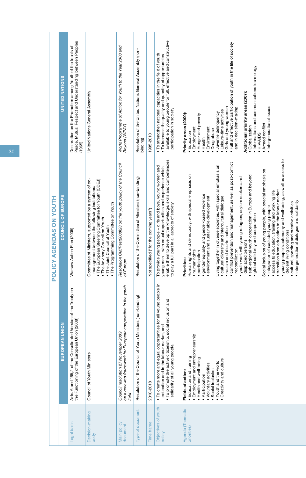|                         | <b>UNITED NATIONS</b> | Peace, Mutual Respect and Understanding between Peoples<br>Declaration on the Promotion among Youth of the Ideals of<br>(1965) | United Nations General Assembly                                                                                                                                                                                                                                         | World Programme of Action for Youth to the Year 2000 and<br>Beyond (WPAY)                                    | Resolution of the United Nations General Assembly (non-<br>binding) | 1995-2010                              | available to young people for full, effective and constructive<br>. To strengthen national capacities in the field of youth<br>. To increase the quality and quantity of opportunities<br>participation in society                       | Full and effective participation of youth in the life of society<br>· Informations and communications technology<br>Additional priority areas (2007):<br>· Intergenerational issues<br>· Girls and young women<br>and in decision-making<br>· Leisure-time activities<br>Juvenile delinquency<br>Priority areas (2000):<br>• Hunger and poverty<br>· Armed conflict<br>· Globalization<br>Employment<br>Environment<br>Drug abuse<br>• Education<br>· HIV/AIDS<br>• Health                                                                                                                                                                                                                                                                                                                                                                                                                                                                                                                                                        |
|-------------------------|-----------------------|--------------------------------------------------------------------------------------------------------------------------------|-------------------------------------------------------------------------------------------------------------------------------------------------------------------------------------------------------------------------------------------------------------------------|--------------------------------------------------------------------------------------------------------------|---------------------------------------------------------------------|----------------------------------------|------------------------------------------------------------------------------------------------------------------------------------------------------------------------------------------------------------------------------------------|-----------------------------------------------------------------------------------------------------------------------------------------------------------------------------------------------------------------------------------------------------------------------------------------------------------------------------------------------------------------------------------------------------------------------------------------------------------------------------------------------------------------------------------------------------------------------------------------------------------------------------------------------------------------------------------------------------------------------------------------------------------------------------------------------------------------------------------------------------------------------------------------------------------------------------------------------------------------------------------------------------------------------------------|
| POLICY AGENDAS ON YOUTH | COUNCIL OF EUROPE     | Warsaw Action Plan (2005)                                                                                                      | Committee of Ministers, supported by a system of co-<br>. The European Steering Committee for Youth (CDEJ)<br>management between the following institutions:<br>• The Programming Committee on Youth<br>• The Advisory Council on Youth<br>. The Joint Council of Youth | Resolution CM/Res(2008)23 on the youth policy of the Council<br>of Europe                                    | Resolution of the Committee of Ministers (non-binding)              | Not specified ("for the coming years") | enable them to develop the knowledge, skills and competencies<br>To provide young people - girls and boys, young women and<br>young men - with equal opportunities and experience which<br>to play a full part in all aspects of society | . young people's autonomy and well-being, as well as access to<br>· conflict prevention and management, as well as post-conflict<br>Living together in diverse societies, with special emphasis on<br>Social inclusion of young people, with special emphasis on<br>Human rights and democracy, with special emphasis on<br>· sub-regional youth cooperation in Europe and beyond<br>. youth work with young refugees, asylum seekers and<br>. transition from education to the labour market<br>access to education, training and working life<br>· gender equality and gender-based violence<br>· cultural diversity and intercultural dialogue<br>environment and sustainable development<br>intergenerational dialogue and solidarity<br>cultural, sporting and creative activities<br>· integration of excluded young people<br>global solidarity and cooperation<br>• racism and discrimination<br>decent living conditions<br>displaced persons<br>reconciliation<br>· human rights<br>participation<br><b>Priorities:</b> |
|                         | <b>EUROPEAN UNION</b> | Arts. 6 and 165,2 of the Consolidated Version of the Treaty on<br>the Functioning of the European Union (2008)                 | Council of Youth Ministers                                                                                                                                                                                                                                              | on a renewed framework for European cooperation in the youth<br>Council resolution 27 November 2009<br>field | Resolution of the Council of Youth Ministers (non-binding)          | 2010-2018                              | 으.<br>· To create more and equal opportunities for all young people<br>. To promote the active citizenship, social inclusion and<br>education and in the labour market, and<br>solidarity of all young people.                           | · Employment and entrepreneurship<br>· Education and training<br>Health and well-being<br>Creativity and culture<br>. Youth and the world<br>· Voluntary activities<br>Social inclusion<br>Fields of action:<br>· Participation                                                                                                                                                                                                                                                                                                                                                                                                                                                                                                                                                                                                                                                                                                                                                                                                   |
|                         |                       | egal basis                                                                                                                     | Decision-making<br>body                                                                                                                                                                                                                                                 | Main policy<br>document                                                                                      | ype of document                                                     | ime frame                              | Objectives of youth<br>policy                                                                                                                                                                                                            | Agenda (Thematic<br>priorities)                                                                                                                                                                                                                                                                                                                                                                                                                                                                                                                                                                                                                                                                                                                                                                                                                                                                                                                                                                                                   |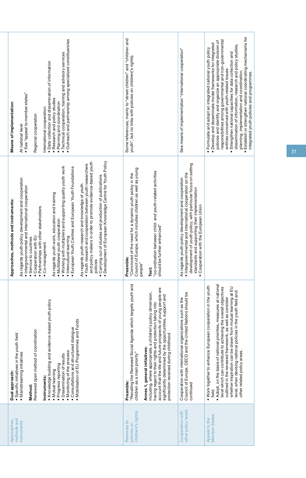| methods and<br>Approaches,<br>instruments         | Knowledge building and evidence-based youth policy<br>Mobilisation of EU Programmes and Funds<br>Consultations and structured dialogue<br>Renewed open method of coordination<br>· Specific initiatives in the youth field<br>. Monitoring of the process<br>· Mainstreaming initiatives<br>· Dissemination of results<br>Progress reporting<br>· Mutual learning<br>Dual approach:<br>Instruments:<br>Method:                                 | · Development of European Knowledge Centre for Youth Policy<br>and policy makers in order to promote evidence-based youth<br>. Youth research and cooperation between youth researchers<br>. Working with multipliers and supporting quality youth work<br>European Youth Centres and European Youth Foundations<br>Carrying out of studies and production of publications<br>As regards youth policy development and cooperation<br>As regards youth research and knowledge of youth<br>· Intergovernmental and international cooperation<br>As regards youth work, education and training<br>Approaches, methods and instruments:<br>· Partnerships with other stakeholders<br>· Multilateral youth cooperation<br>· Intercultural learning<br>Cooperation with EU<br>Service to countries<br>· Co-management<br>policies<br>٠ | Outreach and partnership among specialized constituencies<br>· Technical cooperation, training and advisory services<br>· Data collection and dissemination of information<br>• See "appeal to member states"<br>· Research and policy studies<br>Planning and coordination<br>Means of implementation:<br>International cooperation<br>Regional cooperation<br>At national level                                                                                                                                                                                                    |  |
|---------------------------------------------------|------------------------------------------------------------------------------------------------------------------------------------------------------------------------------------------------------------------------------------------------------------------------------------------------------------------------------------------------------------------------------------------------------------------------------------------------|----------------------------------------------------------------------------------------------------------------------------------------------------------------------------------------------------------------------------------------------------------------------------------------------------------------------------------------------------------------------------------------------------------------------------------------------------------------------------------------------------------------------------------------------------------------------------------------------------------------------------------------------------------------------------------------------------------------------------------------------------------------------------------------------------------------------------------|--------------------------------------------------------------------------------------------------------------------------------------------------------------------------------------------------------------------------------------------------------------------------------------------------------------------------------------------------------------------------------------------------------------------------------------------------------------------------------------------------------------------------------------------------------------------------------------|--|
| children('s rights)<br>Rerences to<br>policies on | "Recalling the Renewed Social Agenda which targets youth and<br>account that the life and future prospects of young people are<br>Including, where appropriate, a children's policy dimension,<br>significantly determined by the opportunities, support and<br>having regard to their rights and protection taking into<br>protection received during childhood<br>Annex 1, general initiatives:<br>children as a main priority"<br>Preamble: | Council of Europe, which includes children as well as young<br>"co-ordination between child- and youth-related activities<br>"Convinced of the need for a dynamic youth policy in the<br>should be further enhanced"<br>Preamble:<br>people"<br><b>Text:</b>                                                                                                                                                                                                                                                                                                                                                                                                                                                                                                                                                                     | Some references, mainly to "street children" and "children and<br>youth", but no links with policies on children('s rights)                                                                                                                                                                                                                                                                                                                                                                                                                                                          |  |
| other policy levels<br>Cooperation with           | Council of Europe, OECD and the United Nations should be<br>Cooperation with international organizations such as the<br>continued                                                                                                                                                                                                                                                                                                              | development of youth policy, with particular focus on setting<br>· Intergovernmental and international cooperation on the<br>As regards youth policy development and cooperation<br>standards and supporting their implementation<br>• Cooperation with the European Union                                                                                                                                                                                                                                                                                                                                                                                                                                                                                                                                                       | See means of implementation "international cooperation"                                                                                                                                                                                                                                                                                                                                                                                                                                                                                                                              |  |
| Appeal to the<br>Member States                    | Adopt, on the basis of national priorities, measures at national<br>. Work together to enhance European cooperation in the youth<br>level which can contribute to achieving the overall objectives<br>whether inspiration can be drawn from mutual learning at EU<br>level, when devising national policies in the youth field and<br>outlined in the renewed framework, as well as consider<br>other related policy areas.<br>field           |                                                                                                                                                                                                                                                                                                                                                                                                                                                                                                                                                                                                                                                                                                                                                                                                                                  | Establish or strengthen national coordinating mechanisms for<br>responsibilities among governmental and non-governmental<br>policies and identify and organize an appropriate division of<br>· Develop and disseminate model frameworks for integrated<br>dissemination of information, research and policy studies,<br>Formulate and adopt an integrated national youth policy<br>Strengthen national capacities for data collection and<br>entities concerned with youth-related issues<br>planning, implementation and coordination.<br>integrated youth policies and programmes. |  |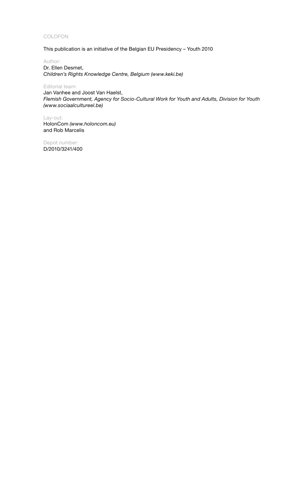#### COLOFON

This publication is an initiative of the Belgian EU Presidency – Youth 2010

Author: Dr. Ellen Desmet, *Children's Rights Knowledge Centre, Belgium (www.keki.be)* 

Editorial team:

Jan Vanhee and Joost Van Haelst, *Flemish Government, Agency for Socio-Cultural Work for Youth and Adults, Division for Youth (www.sociaalcultureel.be)* 

Lay-out: HolonCom *(www.holoncom.eu)* and Rob Marcelis

Depot number: D/2010/3241/400